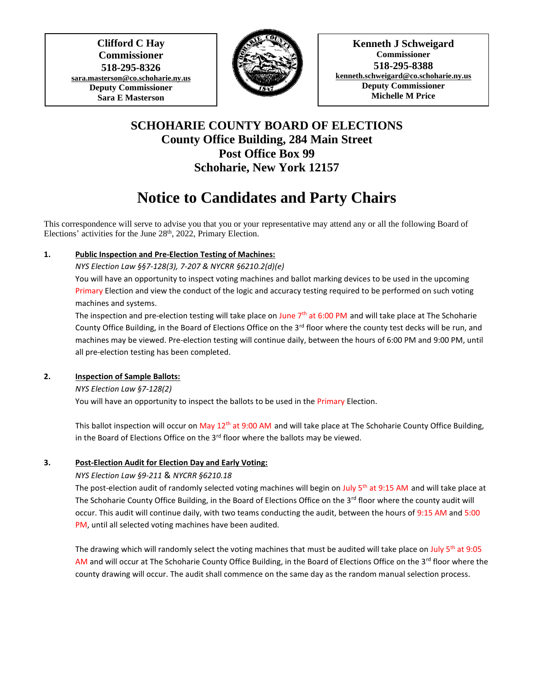**Clifford C Hay Commissioner 518-295-8326 [sara.masterson@co.schoharie.ny.us](mailto:sara.masterson@co.schoharie.ny.us) Deputy Commissioner Sara E Masterson**

 $\overline{\phantom{a}}$ 



**Kenneth J Schweigard Commissioner 518-295-8388 [kenneth.schweigard@co.schoharie.ny.us](mailto:kenneth.schweigard@co.schoharie.ny.us) Deputy Commissioner Michelle M Price**

# **SCHOHARIE COUNTY BOARD OF ELECTIONS County Office Building, 284 Main Street Post Office Box 99 Schoharie, New York 12157**

# **Notice to Candidates and Party Chairs**

This correspondence will serve to advise you that you or your representative may attend any or all the following Board of Elections' activities for the June 28<sup>th</sup>, 2022, Primary Election.

# **1. Public Inspection and Pre-Election Testing of Machines:**

*NYS Election Law §§7-128(3), 7-207 & NYCRR §6210.2(d)(e)*

You will have an opportunity to inspect voting machines and ballot marking devices to be used in the upcoming Primary Election and view the conduct of the logic and accuracy testing required to be performed on such voting machines and systems.

The inspection and pre-election testing will take place on June  $7<sup>th</sup>$  at 6:00 PM and will take place at The Schoharie County Office Building, in the Board of Elections Office on the  $3<sup>rd</sup>$  floor where the county test decks will be run, and machines may be viewed. Pre-election testing will continue daily, between the hours of 6:00 PM and 9:00 PM, until all pre-election testing has been completed.

# **2. Inspection of Sample Ballots:**

*NYS Election Law §7-128(2)*

You will have an opportunity to inspect the ballots to be used in the Primary Election.

This ballot inspection will occur on May  $12^{th}$  at 9:00 AM and will take place at The Schoharie County Office Building, in the Board of Elections Office on the 3<sup>rd</sup> floor where the ballots may be viewed.

# **3. Post-Election Audit for Election Day and Early Voting:**

# *NYS Election Law §9-211* & *NYCRR §6210.18*

The post-election audit of randomly selected voting machines will begin on July  $5<sup>th</sup>$  at 9:15 AM and will take place at The Schoharie County Office Building, in the Board of Elections Office on the 3<sup>rd</sup> floor where the county audit will occur. This audit will continue daily, with two teams conducting the audit, between the hours of 9:15 AM and 5:00 PM, until all selected voting machines have been audited.

The drawing which will randomly select the voting machines that must be audited will take place on July 5<sup>th</sup> at 9:05 AM and will occur at The Schoharie County Office Building, in the Board of Elections Office on the 3<sup>rd</sup> floor where the county drawing will occur. The audit shall commence on the same day as the random manual selection process.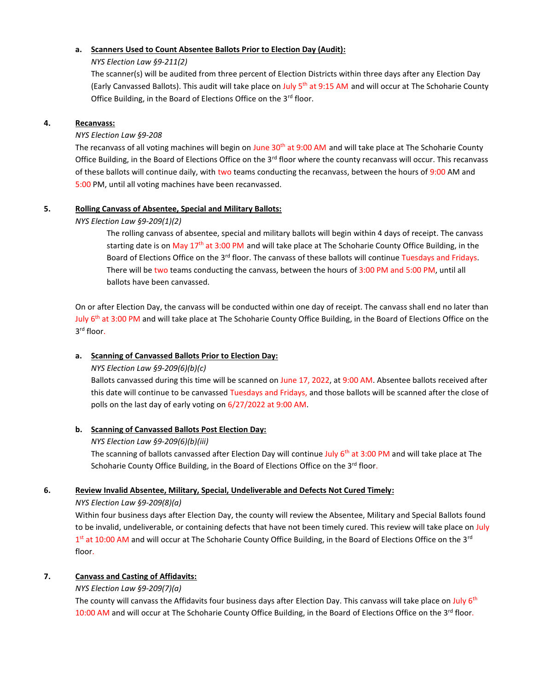#### **a. Scanners Used to Count Absentee Ballots Prior to Election Day (Audit):**

#### *NYS Election Law §9-211(2)*

The scanner(s) will be audited from three percent of Election Districts within three days after any Election Day (Early Canvassed Ballots). This audit will take place on July 5<sup>th</sup> at 9:15 AM and will occur at The Schoharie County Office Building, in the Board of Elections Office on the 3<sup>rd</sup> floor.

#### **4. Recanvass:**

#### *NYS Election Law §9-208*

The recanvass of all voting machines will begin on June  $30<sup>th</sup>$  at 9:00 AM and will take place at The Schoharie County Office Building, in the Board of Elections Office on the  $3<sup>rd</sup>$  floor where the county recanvass will occur. This recanvass of these ballots will continue daily, with two teams conducting the recanvass, between the hours of 9:00 AM and 5:00 PM, until all voting machines have been recanvassed.

#### **5. Rolling Canvass of Absentee, Special and Military Ballots:**

#### *NYS Election Law §9-209(1)(2)*

The rolling canvass of absentee, special and military ballots will begin within 4 days of receipt. The canvass starting date is on May  $17<sup>th</sup>$  at 3:00 PM and will take place at The Schoharie County Office Building, in the Board of Elections Office on the 3<sup>rd</sup> floor. The canvass of these ballots will continue Tuesdays and Fridays. There will be two teams conducting the canvass, between the hours of 3:00 PM and 5:00 PM, until all ballots have been canvassed.

On or after Election Day, the canvass will be conducted within one day of receipt. The canvass shall end no later than July 6<sup>th</sup> at 3:00 PM and will take place at The Schoharie County Office Building, in the Board of Elections Office on the 3 rd floor.

# **a. Scanning of Canvassed Ballots Prior to Election Day:**

#### *NYS Election Law §9-209(6)(b)(c)*

Ballots canvassed during this time will be scanned on June 17, 2022, at 9:00 AM. Absentee ballots received after this date will continue to be canvassed Tuesdays and Fridays, and those ballots will be scanned after the close of polls on the last day of early voting on 6/27/2022 at 9:00 AM.

# **b. Scanning of Canvassed Ballots Post Election Day:**

#### *NYS Election Law §9-209(6)(b)(iii)*

The scanning of ballots canvassed after Election Day will continue July 6<sup>th</sup> at 3:00 PM and will take place at The Schoharie County Office Building, in the Board of Elections Office on the 3<sup>rd</sup> floor.

#### **6. Review Invalid Absentee, Military, Special, Undeliverable and Defects Not Cured Timely:**

#### *NYS Election Law §9-209(8)(a)*

Within four business days after Election Day, the county will review the Absentee, Military and Special Ballots found to be invalid, undeliverable, or containing defects that have not been timely cured. This review will take place on July 1<sup>st</sup> at 10:00 AM and will occur at The Schoharie County Office Building, in the Board of Elections Office on the 3<sup>rd</sup> floor.

# **7. Canvass and Casting of Affidavits:**

# *NYS Election Law §9-209(7)(a)*

The county will canvass the Affidavits four business days after Election Day. This canvass will take place on July  $6<sup>th</sup>$ 10:00 AM and will occur at The Schoharie County Office Building, in the Board of Elections Office on the 3<sup>rd</sup> floor.